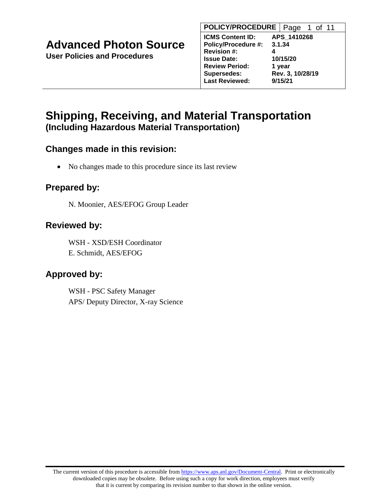| <b>POLICY/PROCEDURE</b>    |   | Page 1 of 11     |  |  |
|----------------------------|---|------------------|--|--|
| <b>ICMS Content ID:</b>    |   | APS 1410268      |  |  |
| <b>Policy/Procedure #:</b> |   | 3.1.34           |  |  |
| <b>Revision #:</b>         | 4 |                  |  |  |
| <b>Issue Date:</b>         |   | 10/15/20         |  |  |
| <b>Review Period:</b>      |   | 1 year           |  |  |
| <b>Supersedes:</b>         |   | Rev. 3, 10/28/19 |  |  |
| <b>Last Reviewed:</b>      |   | 9/15/21          |  |  |
|                            |   |                  |  |  |

# **Shipping, Receiving, and Material Transportation (Including Hazardous Material Transportation)**

### **Changes made in this revision:**

• No changes made to this procedure since its last review

## **Prepared by:**

N. Moonier, AES/EFOG Group Leader

## **Reviewed by:**

WSH - XSD/ESH Coordinator E. Schmidt, AES/EFOG

# **Approved by:**

WSH - PSC Safety Manager APS/ Deputy Director, X-ray Science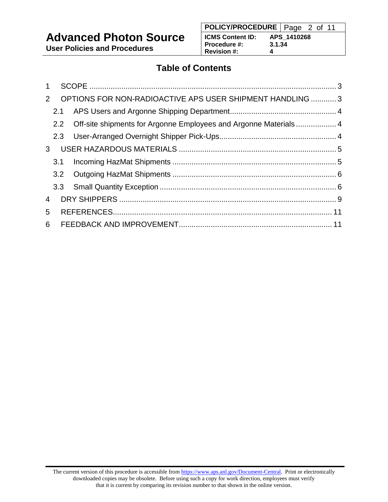# **Advanced Photon Source**

**User Policies and Procedures**

# **Table of Contents**

| $\mathbf{1}$   |     |                                                                      |  |
|----------------|-----|----------------------------------------------------------------------|--|
| 2              |     | OPTIONS FOR NON-RADIOACTIVE APS USER SHIPMENT HANDLING  3            |  |
|                | 2.1 |                                                                      |  |
|                |     | 2.2 Off-site shipments for Argonne Employees and Argonne Materials 4 |  |
|                | 2.3 |                                                                      |  |
| $\mathbf{3}$   |     |                                                                      |  |
|                | 3.1 |                                                                      |  |
|                |     |                                                                      |  |
|                |     |                                                                      |  |
| $\overline{4}$ |     |                                                                      |  |
| 5              |     |                                                                      |  |
| 6              |     |                                                                      |  |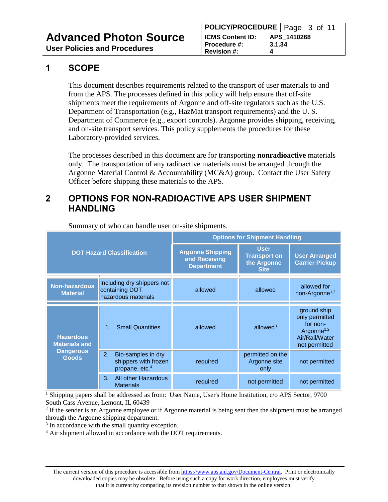### <span id="page-2-0"></span>**1 SCOPE**

This document describes requirements related to the transport of user materials to and from the APS. The processes defined in this policy will help ensure that off-site shipments meet the requirements of Argonne and off-site regulators such as the U.S. Department of Transportation (e.g., HazMat transport requirements) and the U. S. Department of Commerce (e.g., export controls). Argonne provides shipping, receiving, and on-site transport services. This policy supplements the procedures for these Laboratory-provided services.

The processes described in this document are for transporting **nonradioactive** materials only. The transportation of any radioactive materials must be arranged through the Argonne Material Control & Accountability (MC&A) group. Contact the User Safety Officer before shipping these materials to the APS.

### <span id="page-2-1"></span>**2 OPTIONS FOR NON-RADIOACTIVE APS USER SHIPMENT HANDLING**

| <b>DOT Hazard Classification</b>         |                                                                                | <b>Options for Shipment Handling</b>                          |                                                                  |                                                                                                        |  |
|------------------------------------------|--------------------------------------------------------------------------------|---------------------------------------------------------------|------------------------------------------------------------------|--------------------------------------------------------------------------------------------------------|--|
|                                          |                                                                                | <b>Argonne Shipping</b><br>and Receiving<br><b>Department</b> | <b>User</b><br><b>Transport on</b><br>the Argonne<br><b>Site</b> | <b>User Arranged</b><br><b>Carrier Pickup</b>                                                          |  |
| <b>Non-hazardous</b><br><b>Material</b>  | Including dry shippers not<br>containing DOT<br>hazardous materials            | allowed                                                       | allowed                                                          | allowed for<br>non-Argonne <sup>1,2</sup>                                                              |  |
| <b>Hazardous</b><br><b>Materials and</b> | <b>Small Quantities</b>                                                        | allowed                                                       | allowed $3$                                                      | ground ship<br>only permitted<br>for non-<br>Argonne <sup>1,2</sup><br>Air/Rail/Water<br>not permitted |  |
| <b>Dangerous</b><br><b>Goods</b>         | 2.<br>Bio-samples in dry<br>shippers with frozen<br>propane, etc. <sup>4</sup> | required                                                      | permitted on the<br>Argonne site<br>only                         | not permitted                                                                                          |  |
|                                          | 3.<br>All other Hazardous<br><b>Materials</b>                                  | required                                                      | not permitted                                                    | not permitted                                                                                          |  |

Summary of who can handle user on-site shipments.

<sup>1</sup> Shipping papers shall be addressed as from: User Name, User's Home Institution, c/o APS Sector, 9700 South Cass Avenue, Lemont, IL 60439

<sup>2</sup> If the sender is an Argonne employee or if Argonne material is being sent then the shipment must be arranged through the Argonne shipping department.

<sup>3</sup> In accordance with the small quantity exception.

<sup>4</sup> Air shipment allowed in accordance with the DOT requirements.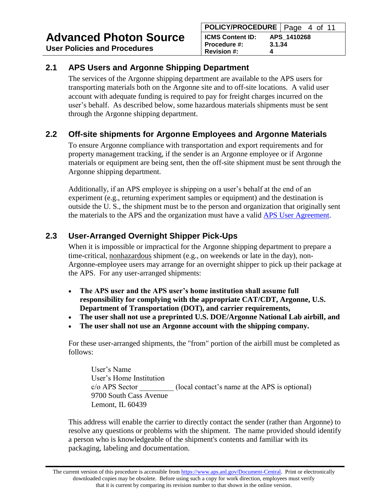### <span id="page-3-0"></span>**2.1 APS Users and Argonne Shipping Department**

The services of the Argonne shipping department are available to the APS users for transporting materials both on the Argonne site and to off-site locations. A valid user account with adequate funding is required to pay for freight charges incurred on the user's behalf. As described below, some hazardous materials shipments must be sent through the Argonne shipping department.

## <span id="page-3-1"></span>**2.2 Off-site shipments for Argonne Employees and Argonne Materials**

To ensure Argonne compliance with transportation and export requirements and for property management tracking, if the sender is an Argonne employee or if Argonne materials or equipment are being sent, then the off-site shipment must be sent through the Argonne shipping department.

Additionally, if an APS employee is shipping on a user's behalf at the end of an experiment (e.g., returning experiment samples or equipment) and the destination is outside the U. S., the shipment must be to the person and organization that originally sent the materials to the APS and the organization must have a valid [APS User Agreement.](https://www.aps.anl.gov/Users-Information/Legal-Financial/Argonne-User-Facility-Agreements)

## <span id="page-3-2"></span>**2.3 User-Arranged Overnight Shipper Pick-Ups**

When it is impossible or impractical for the Argonne shipping department to prepare a time-critical, nonhazardous shipment (e.g., on weekends or late in the day), non-Argonne-employee users may arrange for an overnight shipper to pick up their package at the APS. For any user-arranged shipments:

- **The APS user and the APS user's home institution shall assume full responsibility for complying with the appropriate CAT/CDT, Argonne, U.S. Department of Transportation (DOT), and carrier requirements,**
- **The user shall not use a preprinted U.S. DOE/Argonne National Lab airbill, and**
- **The user shall not use an Argonne account with the shipping company.**

For these user-arranged shipments, the "from" portion of the airbill must be completed as follows:

User's Name User's Home Institution c/o APS Sector \_\_\_\_\_\_\_\_\_ (local contact's name at the APS is optional) 9700 South Cass Avenue Lemont, IL 60439

This address will enable the carrier to directly contact the sender (rather than Argonne) to resolve any questions or problems with the shipment. The name provided should identify a person who is knowledgeable of the shipment's contents and familiar with its packaging, labeling and documentation.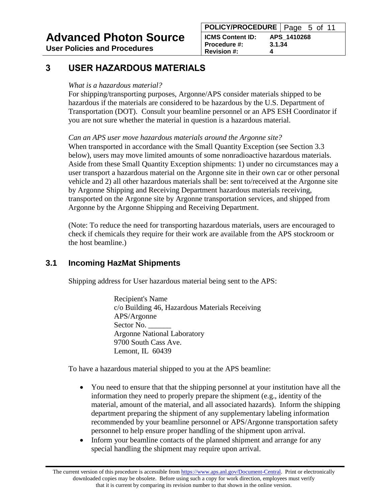# **Advanced Photon Source**

**User Policies and Procedures**

## <span id="page-4-0"></span>**3 USER HAZARDOUS MATERIALS**

#### *What is a hazardous material?*

For shipping/transporting purposes, Argonne/APS consider materials shipped to be hazardous if the materials are considered to be hazardous by the U.S. Department of Transportation (DOT). Consult your beamline personnel or an APS ESH Coordinator if you are not sure whether the material in question is a hazardous material.

*Can an APS user move hazardous materials around the Argonne site?*

When transported in accordance with the Small Quantity Exception (see Section 3.3) below), users may move limited amounts of some nonradioactive hazardous materials. Aside from these Small Quantity Exception shipments: 1) under no circumstances may a user transport a hazardous material on the Argonne site in their own car or other personal vehicle and 2) all other hazardous materials shall be: sent to/received at the Argonne site by Argonne Shipping and Receiving Department hazardous materials receiving, transported on the Argonne site by Argonne transportation services, and shipped from Argonne by the Argonne Shipping and Receiving Department.

(Note: To reduce the need for transporting hazardous materials, users are encouraged to check if chemicals they require for their work are available from the APS stockroom or the host beamline.)

### <span id="page-4-1"></span>**3.1 Incoming HazMat Shipments**

Shipping address for User hazardous material being sent to the APS:

Recipient's Name c/o Building 46, Hazardous Materials Receiving APS/Argonne Sector No. Argonne National Laboratory 9700 South Cass Ave. Lemont, IL 60439

To have a hazardous material shipped to you at the APS beamline:

- You need to ensure that that the shipping personnel at your institution have all the information they need to properly prepare the shipment (e.g., identity of the material, amount of the material, and all associated hazards). Inform the shipping department preparing the shipment of any supplementary labeling information recommended by your beamline personnel or APS/Argonne transportation safety personnel to help ensure proper handling of the shipment upon arrival.
- Inform your beamline contacts of the planned shipment and arrange for any special handling the shipment may require upon arrival.

The current version of this procedure is accessible from [https://www.aps.anl.gov/Document-Central.](https://www.aps.anl.gov/Document-Central) Print or electronically downloaded copies may be obsolete. Before using such a copy for work direction, employees must verify that it is current by comparing its revision number to that shown in the online version.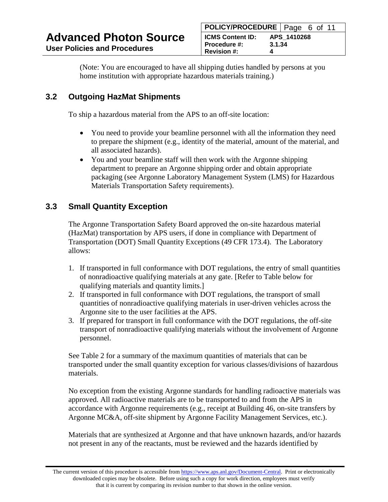(Note: You are encouraged to have all shipping duties handled by persons at you home institution with appropriate hazardous materials training.)

### <span id="page-5-0"></span>**3.2 Outgoing HazMat Shipments**

To ship a hazardous material from the APS to an off-site location:

- You need to provide your beamline personnel with all the information they need to prepare the shipment (e.g., identity of the material, amount of the material, and all associated hazards).
- You and your beamline staff will then work with the Argonne shipping department to prepare an Argonne shipping order and obtain appropriate packaging (see Argonne Laboratory Management System (LMS) for Hazardous Materials Transportation Safety requirements).

### <span id="page-5-1"></span>**3.3 Small Quantity Exception**

The Argonne Transportation Safety Board approved the on-site hazardous material (HazMat) transportation by APS users, if done in compliance with Department of Transportation (DOT) Small Quantity Exceptions (49 CFR 173.4). The Laboratory allows:

- 1. If transported in full conformance with DOT regulations, the entry of small quantities of nonradioactive qualifying materials at any gate. [Refer to Table below for qualifying materials and quantity limits.]
- 2. If transported in full conformance with DOT regulations, the transport of small quantities of nonradioactive qualifying materials in user-driven vehicles across the Argonne site to the user facilities at the APS.
- 3. If prepared for transport in full conformance with the DOT regulations, the off-site transport of nonradioactive qualifying materials without the involvement of Argonne personnel.

See Table 2 for a summary of the maximum quantities of materials that can be transported under the small quantity exception for various classes/divisions of hazardous materials.

No exception from the existing Argonne standards for handling radioactive materials was approved. All radioactive materials are to be transported to and from the APS in accordance with Argonne requirements (e.g., receipt at Building 46, on-site transfers by Argonne MC&A, off-site shipment by Argonne Facility Management Services, etc.).

Materials that are synthesized at Argonne and that have unknown hazards, and/or hazards not present in any of the reactants, must be reviewed and the hazards identified by

The current version of this procedure is accessible from [https://www.aps.anl.gov/Document-Central.](https://www.aps.anl.gov/Document-Central) Print or electronically downloaded copies may be obsolete. Before using such a copy for work direction, employees must verify that it is current by comparing its revision number to that shown in the online version.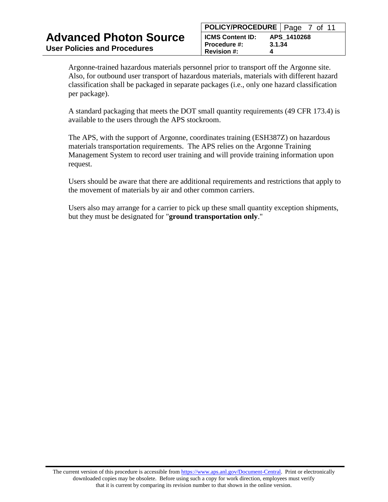Argonne-trained hazardous materials personnel prior to transport off the Argonne site. Also, for outbound user transport of hazardous materials, materials with different hazard classification shall be packaged in separate packages (i.e., only one hazard classification per package).

A standard packaging that meets the DOT small quantity requirements (49 CFR 173.4) is available to the users through the APS stockroom.

The APS, with the support of Argonne, coordinates training (ESH387Z) on hazardous materials transportation requirements. The APS relies on the Argonne Training Management System to record user training and will provide training information upon request.

Users should be aware that there are additional requirements and restrictions that apply to the movement of materials by air and other common carriers.

Users also may arrange for a carrier to pick up these small quantity exception shipments, but they must be designated for "**ground transportation only**."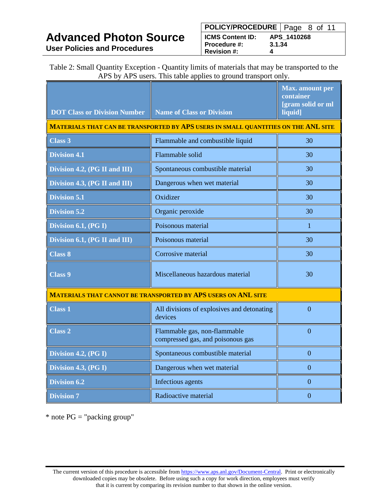Table 2: Small Quantity Exception - Quantity limits of materials that may be transported to the APS by APS users. This table applies to ground transport only.

| <b>DOT Class or Division Number</b>                                                | <b>Name of Class or Division</b>                                  | <b>Max.</b> amount per<br>container<br>[gram solid or ml<br>liquid] |  |  |  |
|------------------------------------------------------------------------------------|-------------------------------------------------------------------|---------------------------------------------------------------------|--|--|--|
| MATERIALS THAT CAN BE TRANSPORTED BY APS USERS IN SMALL QUANTITIES ON THE ANL SITE |                                                                   |                                                                     |  |  |  |
| Class 3                                                                            | Flammable and combustible liquid                                  | 30                                                                  |  |  |  |
| <b>Division 4.1</b>                                                                | Flammable solid                                                   | 30                                                                  |  |  |  |
| Division 4.2, (PG II and III)                                                      | Spontaneous combustible material                                  | 30                                                                  |  |  |  |
| Division 4.3, (PG II and III)                                                      | Dangerous when wet material                                       | 30                                                                  |  |  |  |
| <b>Division 5.1</b>                                                                | Oxidizer                                                          | 30                                                                  |  |  |  |
| <b>Division 5.2</b>                                                                | Organic peroxide                                                  | 30                                                                  |  |  |  |
| Division 6.1, (PG I)                                                               | Poisonous material                                                | 1                                                                   |  |  |  |
| Division 6.1, (PG II and III)                                                      | Poisonous material                                                | 30                                                                  |  |  |  |
| <b>Class 8</b>                                                                     | Corrosive material                                                | 30                                                                  |  |  |  |
| <b>Class 9</b>                                                                     | Miscellaneous hazardous material                                  | 30                                                                  |  |  |  |
| MATERIALS THAT CANNOT BE TRANSPORTED BY APS USERS ON ANL SITE                      |                                                                   |                                                                     |  |  |  |
| <b>Class 1</b>                                                                     | All divisions of explosives and detonating<br>devices             | $\overline{0}$                                                      |  |  |  |
| <b>Class 2</b>                                                                     | Flammable gas, non-flammable<br>compressed gas, and poisonous gas | $\Omega$                                                            |  |  |  |
| Division 4.2, (PG I)                                                               | Spontaneous combustible material                                  | $\Omega$                                                            |  |  |  |
| Division 4.3, (PG I)                                                               | Dangerous when wet material                                       | $\Omega$                                                            |  |  |  |
| <b>Division 6.2</b>                                                                | Infectious agents                                                 | $\overline{0}$                                                      |  |  |  |
| <b>Division 7</b>                                                                  | Radioactive material                                              | $\theta$                                                            |  |  |  |

 $*$  note PG = "packing group"

The current version of this procedure is accessible from [https://www.aps.anl.gov/Document-Central.](https://www.aps.anl.gov/Document-Central) Print or electronically downloaded copies may be obsolete. Before using such a copy for work direction, employees must verify that it is current by comparing its revision number to that shown in the online version.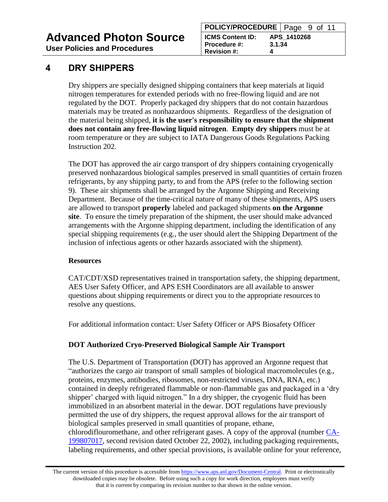**Advanced Photon Source**

**User Policies and Procedures**

#### **POLICY/PROCEDURE** | Page 9 of 11 **ICMS Content ID: APS\_1410268 Procedure #: 3.1.34 Revision #: 4**

### <span id="page-8-0"></span>**4 DRY SHIPPERS**

Dry shippers are specially designed shipping containers that keep materials at liquid nitrogen temperatures for extended periods with no free-flowing liquid and are not regulated by the DOT. Properly packaged dry shippers that do not contain hazardous materials may be treated as nonhazardous shipments. Regardless of the designation of the material being shipped, **it is the user's responsibility to ensure that the shipment does not contain any free-flowing liquid nitrogen**. **Empty dry shippers** must be at room temperature or they are subject to IATA Dangerous Goods Regulations Packing Instruction 202.

The DOT has approved the air cargo transport of dry shippers containing cryogenically preserved nonhazardous biological samples preserved in small quantities of certain frozen refrigerants, by any shipping party, to and from the APS (refer to the following section 9). These air shipments shall be arranged by the Argonne Shipping and Receiving Department. Because of the time-critical nature of many of these shipments, APS users are allowed to transport **properly** labeled and packaged shipments **on the Argonne site**. To ensure the timely preparation of the shipment, the user should make advanced arrangements with the Argonne shipping department, including the identification of any special shipping requirements (e.g., the user should alert the Shipping Department of the inclusion of infectious agents or other hazards associated with the shipment).

#### **Resources**

CAT/CDT/XSD representatives trained in transportation safety, the shipping department, AES User Safety Officer, and APS ESH Coordinators are all available to answer questions about shipping requirements or direct you to the appropriate resources to resolve any questions.

For additional information contact: User Safety Officer or APS Biosafety Officer

#### **DOT Authorized Cryo-Preserved Biological Sample Air Transport**

The U.S. Department of Transportation (DOT) has approved an Argonne request that "authorizes the cargo air transport of small samples of biological macromolecules (e.g., proteins, enzymes, antibodies, ribosomes, non-restricted viruses, DNA, RNA, etc.) contained in deeply refrigerated flammable or non-flammable gas and packaged in a 'dry shipper' charged with liquid nitrogen." In a dry shipper, the cryogenic fluid has been immobilized in an absorbent material in the dewar. DOT regulations have previously permitted the use of dry shippers, the request approval allows for the air transport of biological samples preserved in small quantities of propane, ethane, chlorodiflouromethane, and other refrigerant gases. A copy of the approval (number [CA-](https://www.aps.anl.gov/files/APS-Uploads/Safety-and-Training/Safety/Reference-Material/DOTPropane.pdf)[199807017,](https://www.aps.anl.gov/files/APS-Uploads/Safety-and-Training/Safety/Reference-Material/DOTPropane.pdf) second revision dated October 22, 2002), including packaging requirements, labeling requirements, and other special provisions, is available online for your reference,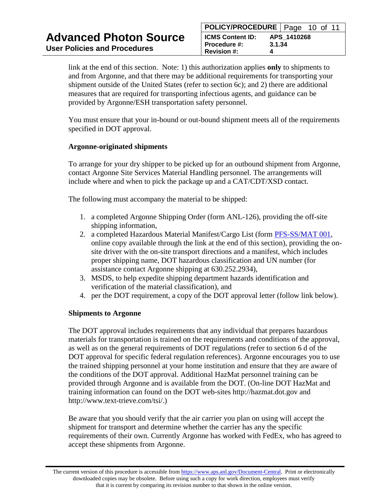link at the end of this section. Note: 1) this authorization applies **only** to shipments to and from Argonne, and that there may be additional requirements for transporting your shipment outside of the United States (refer to section 6c); and 2) there are additional measures that are required for transporting infectious agents, and guidance can be provided by Argonne/ESH transportation safety personnel.

You must ensure that your in-bound or out-bound shipment meets all of the requirements specified in DOT approval.

#### **Argonne-originated shipments**

To arrange for your dry shipper to be picked up for an outbound shipment from Argonne, contact Argonne Site Services Material Handling personnel. The arrangements will include where and when to pick the package up and a CAT/CDT/XSD contact.

The following must accompany the material to be shipped:

- 1. a completed Argonne Shipping Order (form ANL-126), providing the off-site shipping information,
- 2. a completed Hazardous Material Manifest/Cargo List (form [PFS-SS/MAT 001,](https://www.aps.anl.gov/files/APS-Uploads/Safety-and-Training/Safety/Reference-Material/HazMatManifest.pdf) online copy available through the link at the end of this section), providing the onsite driver with the on-site transport directions and a manifest, which includes proper shipping name, DOT hazardous classification and UN number (for assistance contact Argonne shipping at 630.252.2934),
- 3. MSDS, to help expedite shipping department hazards identification and verification of the material classification), and
- 4. per the DOT requirement, a copy of the DOT approval letter (follow link below).

#### **Shipments to Argonne**

The DOT approval includes requirements that any individual that prepares hazardous materials for transportation is trained on the requirements and conditions of the approval, as well as on the general requirements of DOT regulations (refer to section 6 d of the DOT approval for specific federal regulation references). Argonne encourages you to use the trained shipping personnel at your home institution and ensure that they are aware of the conditions of the DOT approval. Additional HazMat personnel training can be provided through Argonne and is available from the DOT. (On-line DOT HazMat and training information can found on the DOT web-sites http://hazmat.dot.gov and http://www.text-trieve.com/tsi/.)

Be aware that you should verify that the air carrier you plan on using will accept the shipment for transport and determine whether the carrier has any the specific requirements of their own. Currently Argonne has worked with FedEx, who has agreed to accept these shipments from Argonne.

The current version of this procedure is accessible from [https://www.aps.anl.gov/Document-Central.](https://www.aps.anl.gov/Document-Central) Print or electronically downloaded copies may be obsolete. Before using such a copy for work direction, employees must verify that it is current by comparing its revision number to that shown in the online version.